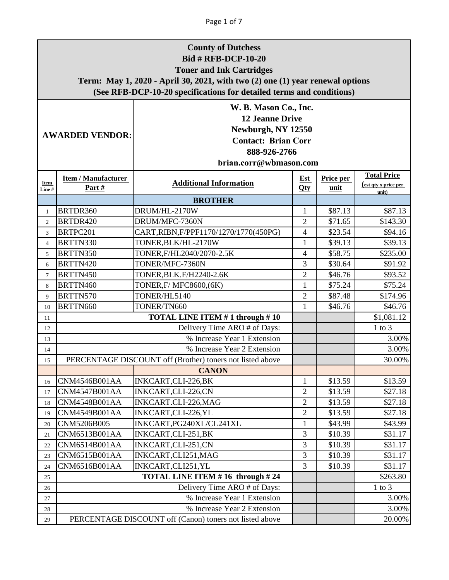|                                                                                                                                                                         | <b>County of Dutchess</b><br><b>Bid # RFB-DCP-10-20</b><br><b>Toner and Ink Cartridges</b><br>Term: May 1, 2020 - April 30, 2021, with two (2) one (1) year renewal options<br>(See RFB-DCP-10-20 specifications for detailed terms and conditions) |                                                           |                   |                   |                                                     |  |  |
|-------------------------------------------------------------------------------------------------------------------------------------------------------------------------|-----------------------------------------------------------------------------------------------------------------------------------------------------------------------------------------------------------------------------------------------------|-----------------------------------------------------------|-------------------|-------------------|-----------------------------------------------------|--|--|
| W. B. Mason Co., Inc.<br><b>12 Jeanne Drive</b><br>Newburgh, NY 12550<br><b>AWARDED VENDOR:</b><br><b>Contact: Brian Corr</b><br>888-926-2766<br>brian.corr@wbmason.com |                                                                                                                                                                                                                                                     |                                                           |                   |                   |                                                     |  |  |
| Item<br>Line #                                                                                                                                                          | <b>Item / Manufacturer</b><br>Part $#$                                                                                                                                                                                                              | <b>Additional Information</b>                             | <b>Est</b><br>Qty | Price per<br>unit | <b>Total Price</b><br>(est qty x price per<br>unit) |  |  |
|                                                                                                                                                                         |                                                                                                                                                                                                                                                     | <b>BROTHER</b>                                            |                   |                   |                                                     |  |  |
| $\mathbf{1}$                                                                                                                                                            | BRTDR360                                                                                                                                                                                                                                            | DRUM/HL-2170W                                             | 1                 | \$87.13           | \$87.13                                             |  |  |
| $\overline{c}$                                                                                                                                                          | BRTDR420                                                                                                                                                                                                                                            | DRUM/MFC-7360N                                            | $\overline{2}$    | \$71.65           | \$143.30                                            |  |  |
| 3                                                                                                                                                                       | BRTPC201                                                                                                                                                                                                                                            | CART, RIBN, F/PPF1170/1270/1770(450PG)                    | 4                 | \$23.54           | \$94.16                                             |  |  |
| $\overline{4}$                                                                                                                                                          | BRTTN330                                                                                                                                                                                                                                            | TONER, BLK/HL-2170W                                       | 1                 | \$39.13           | \$39.13                                             |  |  |
| 5                                                                                                                                                                       | BRTTN350                                                                                                                                                                                                                                            | TONER, F/HL2040/2070-2.5K                                 | 4                 | \$58.75           | \$235.00                                            |  |  |
| 6                                                                                                                                                                       | BRTTN420                                                                                                                                                                                                                                            | TONER/MFC-7360N                                           | 3                 | \$30.64           | \$91.92                                             |  |  |
| $\tau$                                                                                                                                                                  | BRTTN450                                                                                                                                                                                                                                            | TONER, BLK.F/H2240-2.6K                                   | $\overline{2}$    | \$46.76           | \$93.52                                             |  |  |
| 8                                                                                                                                                                       | BRTTN460                                                                                                                                                                                                                                            | TONER, F/ MFC8600, (6K)                                   | 1                 | \$75.24           | \$75.24                                             |  |  |
| 9                                                                                                                                                                       | BRTTN570                                                                                                                                                                                                                                            | TONER/HL5140                                              | $\overline{2}$    | \$87.48           | \$174.96                                            |  |  |
| 10                                                                                                                                                                      | BRTTN660                                                                                                                                                                                                                                            | TONER/TN660                                               | 1                 | \$46.76           | \$46.76                                             |  |  |
| 11                                                                                                                                                                      |                                                                                                                                                                                                                                                     | TOTAL LINE ITEM #1 through #10                            |                   |                   | \$1,081.12                                          |  |  |
| 12                                                                                                                                                                      | Delivery Time ARO # of Days:<br>$1$ to $3$                                                                                                                                                                                                          |                                                           |                   |                   |                                                     |  |  |
| 13                                                                                                                                                                      | % Increase Year 1 Extension<br>3.00%                                                                                                                                                                                                                |                                                           |                   |                   |                                                     |  |  |
| 14                                                                                                                                                                      |                                                                                                                                                                                                                                                     | % Increase Year 2 Extension                               |                   |                   | 3.00%                                               |  |  |
| 15                                                                                                                                                                      |                                                                                                                                                                                                                                                     | PERCENTAGE DISCOUNT off (Brother) toners not listed above |                   |                   | 30.00%                                              |  |  |
|                                                                                                                                                                         |                                                                                                                                                                                                                                                     | <b>CANON</b>                                              |                   |                   |                                                     |  |  |
| 16                                                                                                                                                                      | CNM4546B001AA                                                                                                                                                                                                                                       | INKCART, CLI-226, BK                                      | 1                 | \$13.59           | \$13.59                                             |  |  |
| 17                                                                                                                                                                      | CNM4547B001AA                                                                                                                                                                                                                                       | INKCART,CLI-226,CN                                        | $\overline{2}$    | \$13.59           | \$27.18                                             |  |  |
| 18                                                                                                                                                                      | <b>CNM4548B001AA</b>                                                                                                                                                                                                                                | INKCART.CLI-226, MAG                                      | $\overline{2}$    | \$13.59           | \$27.18                                             |  |  |
| 19                                                                                                                                                                      | CNM4549B001AA                                                                                                                                                                                                                                       | INKCART, CLI-226, YL                                      | $\overline{2}$    | \$13.59           | \$27.18                                             |  |  |
| 20                                                                                                                                                                      | CNM5206B005                                                                                                                                                                                                                                         | INKCART, PG240XL/CL241XL                                  | $\mathbf 1$       | \$43.99           | \$43.99                                             |  |  |
| 21                                                                                                                                                                      | CNM6513B001AA                                                                                                                                                                                                                                       | INKCART, CLI-251, BK                                      | 3                 | \$10.39           | \$31.17                                             |  |  |
| 22                                                                                                                                                                      | CNM6514B001AA                                                                                                                                                                                                                                       | INKCART,CLI-251,CN                                        | 3                 | \$10.39           | \$31.17                                             |  |  |
| 23                                                                                                                                                                      | CNM6515B001AA                                                                                                                                                                                                                                       | INKCART, CLI251, MAG                                      | 3                 | \$10.39           | \$31.17                                             |  |  |
| 24                                                                                                                                                                      | CNM6516B001AA                                                                                                                                                                                                                                       | INKCART, CLI251, YL                                       | 3                 | \$10.39           | \$31.17                                             |  |  |
| 25                                                                                                                                                                      |                                                                                                                                                                                                                                                     | TOTAL LINE ITEM #16 through #24                           |                   |                   | \$263.80                                            |  |  |
| 26                                                                                                                                                                      |                                                                                                                                                                                                                                                     | Delivery Time ARO # of Days:                              |                   |                   | $1$ to $3$                                          |  |  |
| 27                                                                                                                                                                      |                                                                                                                                                                                                                                                     | % Increase Year 1 Extension                               |                   |                   | 3.00%                                               |  |  |
| 28                                                                                                                                                                      |                                                                                                                                                                                                                                                     | % Increase Year 2 Extension                               |                   |                   | 3.00%                                               |  |  |
| 29                                                                                                                                                                      |                                                                                                                                                                                                                                                     | PERCENTAGE DISCOUNT off (Canon) toners not listed above   |                   |                   | 20.00%                                              |  |  |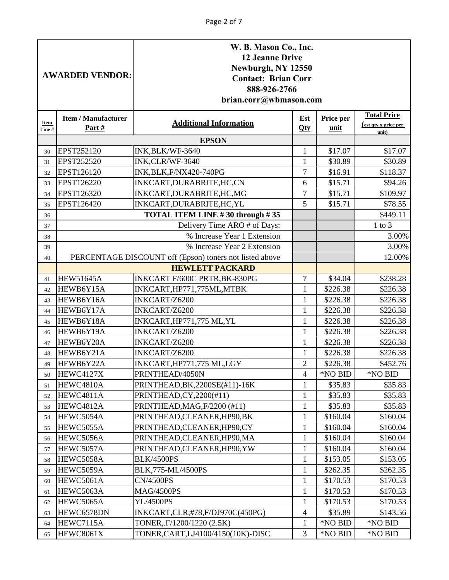|               | <b>AWARDED VENDOR:</b>              | W. B. Mason Co., Inc.<br><b>12 Jeanne Drive</b><br>Newburgh, NY 12550<br><b>Contact: Brian Corr</b><br>888-926-2766<br>brian.corr@wbmason.com |                   |                      |                      |  |  |
|---------------|-------------------------------------|-----------------------------------------------------------------------------------------------------------------------------------------------|-------------------|----------------------|----------------------|--|--|
| Item<br>Line# | <b>Item / Manufacturer</b><br>Part# | <b>Total Price</b><br>Price per<br><b>Est</b><br><b>Additional Information</b><br>(est qty x price per<br>Qty<br>unit                         |                   |                      |                      |  |  |
|               |                                     | <b>EPSON</b>                                                                                                                                  |                   |                      | unit)                |  |  |
| 30            | EPST252120                          | INK, BLK/WF-3640                                                                                                                              | 1                 | \$17.07              | \$17.07              |  |  |
| 31            | EPST252520                          | INK, CLR/WF-3640                                                                                                                              | 1                 | \$30.89              | \$30.89              |  |  |
| 32            | EPST126120                          | <b>INK, BLK, F/NX420-740PG</b>                                                                                                                | $\overline{7}$    | \$16.91              | \$118.37             |  |  |
| 33            | EPST126220                          | INKCART, DURABRITE, HC, CN                                                                                                                    | 6                 | \$15.71              | \$94.26              |  |  |
| 34            | EPST126320                          | INKCART, DURABRITE, HC, MG                                                                                                                    | 7                 | \$15.71              | \$109.97             |  |  |
| 35            | EPST126420                          | INKCART, DURABRITE, HC, YL                                                                                                                    | 5                 | \$15.71              | \$78.55              |  |  |
| 36            |                                     | TOTAL ITEM LINE #30 through #35                                                                                                               |                   |                      | \$449.11             |  |  |
| 37            |                                     | Delivery Time ARO # of Days:                                                                                                                  |                   |                      | $1$ to $3$           |  |  |
| 38            |                                     | % Increase Year 1 Extension                                                                                                                   |                   |                      | 3.00%                |  |  |
| 39            |                                     | % Increase Year 2 Extension                                                                                                                   |                   |                      | 3.00%                |  |  |
| 40            |                                     | PERCENTAGE DISCOUNT off (Epson) toners not listed above                                                                                       |                   |                      | 12.00%               |  |  |
|               |                                     | <b>HEWLETT PACKARD</b>                                                                                                                        |                   |                      |                      |  |  |
| 41            | <b>HEW51645A</b>                    | INKCART F/600C PRTR, BK-830PG                                                                                                                 | $\overline{7}$    | \$34.04              | \$238.28             |  |  |
| 42            | HEWB6Y15A                           | INKCART, HP771, 775ML, MTBK                                                                                                                   | 1                 | \$226.38             | \$226.38             |  |  |
| 43            | HEWB6Y16A                           | INKCART/Z6200                                                                                                                                 | 1                 | \$226.38             | \$226.38             |  |  |
| 44            | HEWB6Y17A                           | INKCART/Z6200                                                                                                                                 | $\mathbf{1}$      | \$226.38             | \$226.38             |  |  |
| 45            | HEWB6Y18A                           | INKCART, HP771, 775 ML, YL                                                                                                                    | 1                 | \$226.38             | \$226.38             |  |  |
| 46            | HEWB6Y19A                           | INKCART/Z6200                                                                                                                                 | $\mathbf{1}$      | \$226.38             | \$226.38             |  |  |
| 47            | HEWB6Y20A                           | INKCART/Z6200                                                                                                                                 | 1                 | \$226.38             | \$226.38             |  |  |
| 48            | HEWB6Y21A                           | INKCART/Z6200                                                                                                                                 | 1                 | \$226.38             | \$226.38             |  |  |
| 49            | HEWB6Y22A                           | INKCART, HP771, 775 ML, LGY                                                                                                                   | $\overline{2}$    | \$226.38             | \$452.76             |  |  |
| 50            | HEWC4127X                           | PRINTHEAD/4050N                                                                                                                               | 4                 | *NO BID              | *NO BID              |  |  |
| 51            | HEWC4810A                           | PRINTHEAD, BK, 2200SE(#11)-16K                                                                                                                | $\mathbf{1}$      | \$35.83              | \$35.83              |  |  |
| 52            | HEWC4811A                           | PRINTHEAD, CY, 2200(#11)                                                                                                                      | 1                 | \$35.83              | \$35.83              |  |  |
| 53            | HEWC4812A                           | PRINTHEAD, MAG, F/2200 (#11)                                                                                                                  | $\mathbf 1$       | \$35.83              | \$35.83              |  |  |
| 54            | HEWC5054A                           | PRINTHEAD, CLEANER, HP90, BK                                                                                                                  | 1                 | \$160.04             | \$160.04             |  |  |
| 55            | HEWC5055A                           | PRINTHEAD, CLEANER, HP90, CY                                                                                                                  | 1                 | \$160.04             | \$160.04             |  |  |
| 56            | HEWC5056A                           | PRINTHEAD, CLEANER, HP90, MA                                                                                                                  | $\mathbf{1}$      | \$160.04             | \$160.04             |  |  |
| 57            | HEWC5057A                           | PRINTHEAD, CLEANER, HP90, YW                                                                                                                  | $\mathbf{1}$      | \$160.04             | \$160.04             |  |  |
| 58            | HEWC5058A                           | <b>BLK/4500PS</b>                                                                                                                             | $\mathbf{1}$      | \$153.05             | \$153.05             |  |  |
| 59            | HEWC5059A                           | BLK,775-ML/4500PS                                                                                                                             | $\mathbf{1}$      | \$262.35             | \$262.35             |  |  |
| 60            | HEWC5061A<br>HEWC5063A              | <b>CN/4500PS</b><br><b>MAG/4500PS</b>                                                                                                         | $\mathbf{1}$      | \$170.53             | \$170.53             |  |  |
| 61            | HEWC5065A                           | <b>YL/4500PS</b>                                                                                                                              | 1<br>$\mathbf{1}$ | \$170.53<br>\$170.53 | \$170.53<br>\$170.53 |  |  |
| 62            | HEWC6578DN                          |                                                                                                                                               |                   | \$35.89              |                      |  |  |
| 63            | HEWC7115A                           | INKCART,CLR,#78,F/DJ970C(450PG)<br>TONER, F/1200/1220 (2.5K)                                                                                  | 4<br>$\mathbf{1}$ | *NO BID              | \$143.56<br>*NO BID  |  |  |
| 64            | HEWC8061X                           | TONER, CART, LJ4100/4150(10K)-DISC                                                                                                            | 3                 | *NO BID              | *NO BID              |  |  |
| 65            |                                     |                                                                                                                                               |                   |                      |                      |  |  |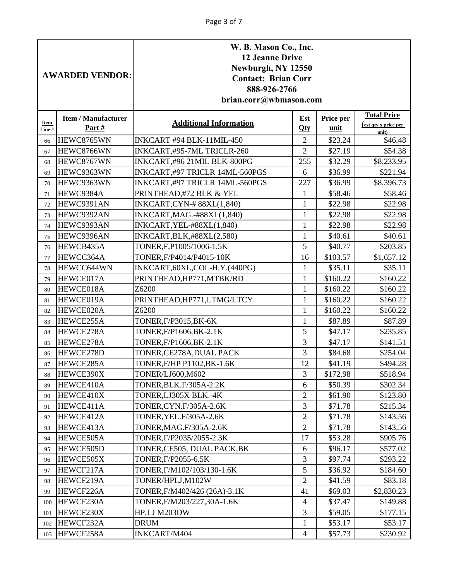|          | <b>AWARDED VENDOR:</b>     | W. B. Mason Co., Inc.<br><b>12 Jeanne Drive</b><br>Newburgh, NY 12550<br><b>Contact: Brian Corr</b><br>888-926-2766<br>brian.corr@wbmason.com |                |                    |                                                   |
|----------|----------------------------|-----------------------------------------------------------------------------------------------------------------------------------------------|----------------|--------------------|---------------------------------------------------|
| Item     | <b>Item / Manufacturer</b> | <b>Additional Information</b>                                                                                                                 | <b>Est</b>     | Price per          | <b>Total Price</b><br><u>(est qty x price per</u> |
| Line #   | Part#                      |                                                                                                                                               | Qty            | unit               | unit)                                             |
| 66       | HEWC8765WN                 | INKCART #94 BLK-11MIL-450                                                                                                                     | 2              | \$23.24            | \$46.48                                           |
| 67       | HEWC8766WN                 | INKCART,#95-7ML TRICLR-260                                                                                                                    | $\overline{2}$ | \$27.19            | \$54.38                                           |
| 68       | HEWC8767WN                 | INKCART,#96 21MIL BLK-800PG                                                                                                                   | 255            | \$32.29            | \$8,233.95                                        |
| 69       | HEWC9363WN                 | INKCART,#97 TRICLR 14ML-560PGS                                                                                                                | 6              | \$36.99            | \$221.94                                          |
| 70       | HEWC9363WN                 | INKCART,#97 TRICLR 14ML-560PGS                                                                                                                | 227            | \$36.99            | \$8,396.73                                        |
| 71       | HEWC9384A                  | PRINTHEAD,#72 BLK & YEL                                                                                                                       | 1              | \$58.46            | \$58.46                                           |
| 72       | HEWC9391AN                 | INKCART,CYN-#88XL(1,840)                                                                                                                      | $\mathbf{1}$   | \$22.98            | \$22.98                                           |
| 73       | HEWC9392AN                 | INKCART, MAG.-#88XL(1,840)                                                                                                                    | $\mathbf{1}$   | \$22.98            | \$22.98                                           |
| 74       | HEWC9393AN                 | INKCART, YEL-#88XL(1,840)                                                                                                                     | 1              | \$22.98            | \$22.98                                           |
| 75       | HEWC9396AN<br>HEWCB435A    | INKCART, BLK, #88XL(2,580)<br>TONER, F, P1005/1006-1.5K                                                                                       | 1<br>5         | \$40.61<br>\$40.77 | \$40.61<br>\$203.85                               |
| 76       | HEWCC364A                  | TONER, F/P4014/P4015-10K                                                                                                                      | 16             | \$103.57           | \$1,657.12                                        |
| 77<br>78 | HEWCC644WN                 | INKCART, 60XL, COL-H.Y. (440PG)                                                                                                               | 1              | \$35.11            | \$35.11                                           |
| 79       | HEWCE017A                  | PRINTHEAD, HP771, MTBK/RD                                                                                                                     | $\mathbf{1}$   | \$160.22           | \$160.22                                          |
| 80       | HEWCE018A                  | Z6200                                                                                                                                         | 1              | \$160.22           | \$160.22                                          |
| 81       | HEWCE019A                  | PRINTHEAD, HP771, LTMG/LTCY                                                                                                                   | $\mathbf{1}$   | \$160.22           | \$160.22                                          |
| 82       | HEWCE020A                  | Z6200                                                                                                                                         | $\mathbf{1}$   | \$160.22           | \$160.22                                          |
| 83       | HEWCE255A                  | TONER, F/P3015, BK-6K                                                                                                                         | $\mathbf{1}$   | \$87.89            | \$87.89                                           |
| 84       | HEWCE278A                  | TONER, F/P1606, BK-2.1K                                                                                                                       | 5              | \$47.17            | \$235.85                                          |
| 85       | HEWCE278A                  | TONER, F/P1606, BK-2.1K                                                                                                                       | 3              | \$47.17            | \$141.51                                          |
| 86       | HEWCE278D                  | TONER, CE278A, DUAL PACK                                                                                                                      | 3              | \$84.68            | \$254.04                                          |
| 87       | HEWCE285A                  | TONER, F/HP P1102, BK-1.6K                                                                                                                    | 12             | \$41.19            | \$494.28                                          |
| 88       | HEWCE390X                  | TONER/LJ600, M602                                                                                                                             | $\overline{3}$ | \$172.98           | \$518.94                                          |
| 89       | HEWCE410A                  | TONER, BLK. F/305A-2.2K                                                                                                                       | 6              | \$50.39            | \$302.34                                          |
| 90       | HEWCE410X                  | TONER, LJ305X BLK.-4K                                                                                                                         | $\overline{2}$ | \$61.90            | \$123.80                                          |
| 91       | HEWCE411A                  | TONER, CYN.F/305A-2.6K                                                                                                                        | 3              | \$71.78            | \$215.34                                          |
| 92       | HEWCE412A                  | TONER, YEL.F/305A-2.6K                                                                                                                        | $\overline{c}$ | \$71.78            | \$143.56                                          |
| 93       | HEWCE413A                  | TONER, MAG.F/305A-2.6K                                                                                                                        | $\overline{2}$ | \$71.78            | \$143.56                                          |
| 94       | HEWCE505A                  | TONER, F/P2035/2055-2.3K                                                                                                                      | 17             | \$53.28            | \$905.76                                          |
| 95       | HEWCE505D                  | TONER, CE505, DUAL PACK, BK                                                                                                                   | 6              | \$96.17            | \$577.02                                          |
| 96       | HEWCE505X                  | TONER, F/P2055-6.5K                                                                                                                           | 3              | \$97.74            | \$293.22                                          |
| 97       | HEWCF217A                  | TONER, F/M102/103/130-1.6K                                                                                                                    | 5              | \$36.92            | \$184.60                                          |
| 98       | HEWCF219A                  | TONER/HPLJ, M102W                                                                                                                             | $\overline{2}$ | \$41.59            | \$83.18                                           |
| 99       | HEWCF226A                  | TONER, F/M402/426 (26A)-3.1K                                                                                                                  | 41             | \$69.03            | \$2,830.23                                        |
| 100      | HEWCF230A                  | TONER, F/M203/227, 30A-1.6K                                                                                                                   | $\overline{4}$ | \$37.47            | \$149.88                                          |
| 101      | HEWCF230X                  | HP,LJ M203DW                                                                                                                                  | 3              | \$59.05            | \$177.15                                          |
| 102      | HEWCF232A                  | <b>DRUM</b>                                                                                                                                   | $\mathbf{1}$   | \$53.17            | \$53.17                                           |
| 103      | HEWCF258A                  | INKCART/M404                                                                                                                                  | $\overline{4}$ | \$57.73            | \$230.92                                          |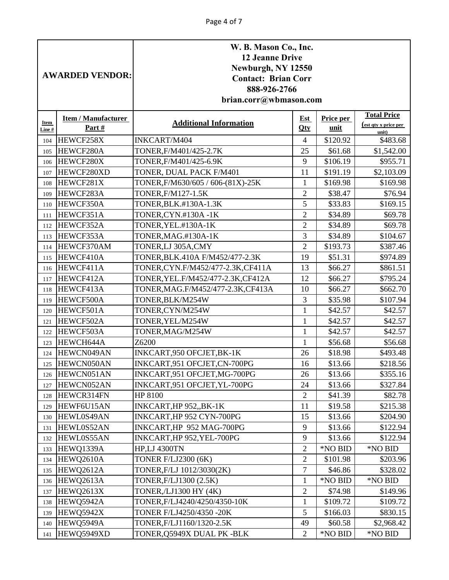|               | <b>AWARDED VENDOR:</b>              | W. B. Mason Co., Inc.<br><b>12 Jeanne Drive</b><br>Newburgh, NY 12550<br><b>Contact: Brian Corr</b><br>888-926-2766<br>brian.corr@wbmason.com |                                |                     |                                            |
|---------------|-------------------------------------|-----------------------------------------------------------------------------------------------------------------------------------------------|--------------------------------|---------------------|--------------------------------------------|
| Item<br>Line# | <b>Item / Manufacturer</b><br>Part# | <b>Additional Information</b>                                                                                                                 | Est<br>Qty                     | Price per<br>unit   | <b>Total Price</b><br>(est qty x price per |
| 104           | HEWCF258X                           | <b>INKCART/M404</b>                                                                                                                           | 4                              | \$120.92            | unit)<br>\$483.68                          |
| 105           | HEWCF280A                           | TONER, F/M401/425-2.7K                                                                                                                        | 25                             | \$61.68             | \$1,542.00                                 |
| 106           | HEWCF280X                           | TONER, F/M401/425-6.9K                                                                                                                        | 9                              | \$106.19            | \$955.71                                   |
| 107           | HEWCF280XD                          | TONER, DUAL PACK F/M401                                                                                                                       | 11                             | \$191.19            | \$2,103.09                                 |
| 108           | HEWCF281X                           | TONER, F/M630/605 / 606-(81X)-25K                                                                                                             | $\mathbf{1}$                   | \$169.98            | \$169.98                                   |
| 109           | HEWCF283A                           | TONER, F/M127-1.5K                                                                                                                            | $\overline{2}$                 | \$38.47             | \$76.94                                    |
| 110           | HEWCF350A                           | TONER, BLK. #130A-1.3K                                                                                                                        | 5                              | \$33.83             | \$169.15                                   |
| 111           | HEWCF351A                           | TONER, CYN.#130A -1K                                                                                                                          | $\overline{2}$                 | \$34.89             | \$69.78                                    |
| 112           | HEWCF352A                           | TONER, YEL.#130A-1K                                                                                                                           | $\overline{2}$                 | \$34.89             | \$69.78                                    |
| 113           | HEWCF353A                           | TONER, MAG.#130A-1K                                                                                                                           | 3                              | \$34.89             | \$104.67                                   |
| 114           | HEWCF370AM                          | TONER, LJ 305A, CMY                                                                                                                           | $\overline{2}$                 | \$193.73            | \$387.46                                   |
| 115           | HEWCF410A                           | TONER, BLK. 410A F/M452/477-2.3K                                                                                                              | 19                             | \$51.31             | \$974.89                                   |
| 116           | HEWCF411A                           | TONER,CYN.F/M452/477-2.3K,CF411A                                                                                                              | 13                             | \$66.27             | \$861.51                                   |
| 117           | HEWCF412A                           | TONER, YEL.F/M452/477-2.3K, CF412A                                                                                                            | 12                             | \$66.27             | \$795.24                                   |
| 118           | HEWCF413A                           | TONER, MAG.F/M452/477-2.3K, CF413A                                                                                                            | 10                             | \$66.27             | \$662.70                                   |
| 119           | HEWCF500A                           | TONER, BLK/M254W                                                                                                                              | 3                              | \$35.98             | \$107.94                                   |
| 120           | HEWCF501A                           | TONER,CYN/M254W                                                                                                                               | $\mathbf{1}$                   | \$42.57             | \$42.57                                    |
| 121           | HEWCF502A                           | TONER, YEL/M254W                                                                                                                              | $\mathbf{1}$                   | \$42.57             | \$42.57                                    |
| 122           | HEWCF503A                           | TONER, MAG/M254W                                                                                                                              | $\mathbf{1}$                   | \$42.57             | \$42.57                                    |
| 123           | HEWCH644A                           | Z6200                                                                                                                                         | 1                              | \$56.68             | \$56.68                                    |
| 124           | HEWCN049AN                          | INKCART,950 OFCJET,BK-1K                                                                                                                      | 26                             | \$18.98             | \$493.48                                   |
| 125           | HEWCN050AN                          | INKCART, 951 OFCJET, CN-700PG                                                                                                                 | 16                             | \$13.66             | \$218.56                                   |
|               | 126 HEWCN051AN                      | INKCART,951 OFCJET, MG-700PG                                                                                                                  | 26                             | \$13.66             | \$355.16                                   |
| 127           | HEWCN052AN                          | INKCART,951 OFCJET, YL-700PG                                                                                                                  | 24                             | \$13.66             | \$327.84                                   |
| 128           | HEWCR314FN                          | HP 8100                                                                                                                                       | $\overline{2}$                 | \$41.39             | \$82.78                                    |
| 129           | HEWF6U15AN                          | INKCART, HP 952, BK-1K                                                                                                                        | 11                             | \$19.58             | \$215.38                                   |
| 130           | HEWL0S49AN                          | INKCART, HP 952 CYN-700PG                                                                                                                     | 15                             | \$13.66             | \$204.90                                   |
| 131           | HEWL0S52AN                          | INKCART, HP 952 MAG-700PG                                                                                                                     | 9                              | \$13.66             | \$122.94                                   |
| 132           | HEWL0S55AN                          | INKCART, HP 952, YEL-700PG                                                                                                                    | 9                              | \$13.66             | \$122.94                                   |
| 133           | HEWQ1339A                           | <b>HP,LJ 4300TN</b>                                                                                                                           | $\overline{2}$                 | *NO BID             | *NO BID                                    |
| 134           | HEWQ2610A                           | <b>TONER F/LJ2300 (6K)</b>                                                                                                                    | $\overline{2}$                 | \$101.98            | \$203.96                                   |
| 135           | HEWQ2612A                           | TONER, F/LJ 1012/3030(2K)                                                                                                                     | $\tau$                         | \$46.86             | \$328.02                                   |
| 136           | HEWQ2613A                           | TONER, F/LJ1300 (2.5K)                                                                                                                        | $\mathbf{1}$<br>$\overline{2}$ | *NO BID             | *NO BID<br>\$149.96                        |
| 137           | HEWQ2613X<br>HEWQ5942A              | TONER, /LJ1300 HY (4K)<br>TONER, F/LJ4240/4250/4350-10K                                                                                       | $\mathbf{1}$                   | \$74.98<br>\$109.72 | \$109.72                                   |
| 138<br>139    | HEWQ5942X                           | TONER F/LJ4250/4350 -20K                                                                                                                      | 5                              | \$166.03            | \$830.15                                   |
| 140           | HEWQ5949A                           | TONER, F/LJ1160/1320-2.5K                                                                                                                     | 49                             | \$60.58             | \$2,968.42                                 |
| 141           | HEWQ5949XD                          | TONER, Q5949X DUAL PK -BLK                                                                                                                    | $\overline{2}$                 | *NO BID             | *NO BID                                    |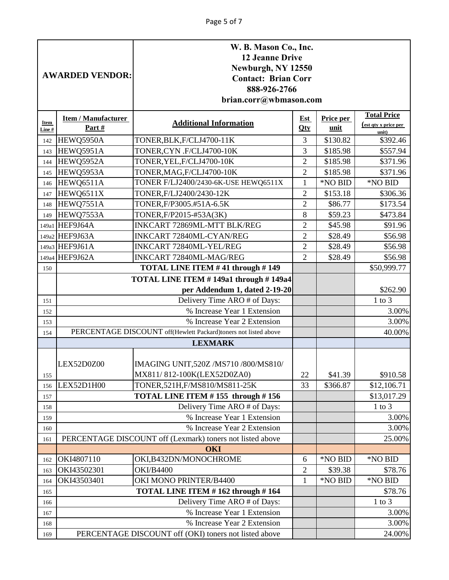| <b>Item / Manufacturer</b><br><b>Est</b><br>Price per<br><b>Additional Information</b><br>Item<br><u>(est qty x price per</u><br>Part#<br>unit<br>$Q$ ty<br>Line#<br>unit)<br>\$392.46<br>HEWQ5950A<br>TONER, BLK, F/CLJ4700-11K<br>3<br>\$130.82<br>142<br>3<br>HEWQ5951A<br>TONER, CYN.F/CLJ4700-10K<br>\$185.98<br>\$557.94<br>143<br>$\overline{2}$<br>HEWQ5952A<br>TONER, YEL, F/CLJ4700-10K<br>\$185.98<br>\$371.96<br>144<br>$\overline{2}$<br>\$185.98<br>HEWQ5953A<br>TONER, MAG, F/CLJ4700-10K<br>\$371.96<br>145<br>HEWQ6511A<br>TONER F/LJ2400/2430-6K-USE HEWQ6511X<br>$\mathbf{1}$<br>*NO BID<br>*NO BID<br>146<br>HEWQ6511X<br>TONER, F/LJ2400/2430-12K<br>$\overline{2}$<br>\$153.18<br>\$306.36<br>147<br>$\mathbf{2}$<br>HEWQ7551A<br>\$173.54<br>TONER, F/P3005.#51A-6.5K<br>\$86.77<br>148<br>$8\,$<br>HEWQ7553A<br>TONER, F/P2015-#53A(3K)<br>\$59.23<br>\$473.84<br>149<br>149a1 HEF9J64A<br>INKCART 72869ML-MTT BLK/REG<br>$\overline{2}$<br>\$45.98<br>\$91.96<br>149a2 HEF9J63A<br>$\overline{2}$<br>INKCART 72840ML-CYAN/REG<br>\$28.49<br>\$56.98<br>149a3 HEF9J61A<br>$\overline{2}$<br>\$28.49<br>\$56.98<br><b>INKCART 72840ML-YEL/REG</b><br>149a4 HEF9J62A<br>$\overline{2}$<br>INKCART 72840ML-MAG/REG<br>\$28.49<br>\$56.98<br>TOTAL LINE ITEM #41 through #149<br>\$50,999.77<br>150<br>TOTAL LINE ITEM #149a1 through #149a4<br>per Addendum 1, dated 2-19-20<br>\$262.90<br>Delivery Time ARO # of Days:<br>$1$ to $3$<br>151<br>% Increase Year 1 Extension<br>3.00%<br>152<br>% Increase Year 2 Extension<br>3.00%<br>153<br>PERCENTAGE DISCOUNT off(Hewlett Packard)toners not listed above<br>40.00%<br>154<br><b>LEXMARK</b><br>IMAGING UNIT, 520Z /MS710 /800/MS810/<br>LEX52D0Z00<br>MX811/812-100K(LEX52D0ZA0)<br>22<br>\$41.39<br>\$910.58<br>155<br>LEX52D1H00<br>TONER, 521H, F/MS810/MS811-25K<br>33<br>\$366.87<br>\$12,106.71<br>156<br>TOTAL LINE ITEM #155 through #156<br>\$13,017.29<br>157<br>Delivery Time ARO # of Days:<br>$1$ to $3$<br>158<br>% Increase Year 1 Extension<br>3.00%<br>159<br>% Increase Year 2 Extension<br>3.00%<br>160<br>PERCENTAGE DISCOUNT off (Lexmark) toners not listed above<br>25.00%<br>161<br><b>OKI</b><br>*NO BID<br>*NO BID<br>OKI4807110<br>OKI,B432DN/MONOCHROME<br>6<br>162<br>OKI43502301<br><b>OKI/B4400</b><br>$\overline{2}$<br>\$39.38<br>\$78.76<br>163<br>*NO BID<br>OKI43503401<br>OKI MONO PRINTER/B4400<br>$\mathbf{1}$<br>*NO BID<br>164<br>TOTAL LINE ITEM #162 through #164<br>\$78.76<br>165<br>Delivery Time ARO # of Days:<br>$1$ to $3$<br>166<br>% Increase Year 1 Extension<br>3.00%<br>167<br>% Increase Year 2 Extension<br>3.00%<br>168<br>PERCENTAGE DISCOUNT off (OKI) toners not listed above |     | W. B. Mason Co., Inc.<br><b>12 Jeanne Drive</b><br>Newburgh, NY 12550<br><b>AWARDED VENDOR:</b><br><b>Contact: Brian Corr</b><br>888-926-2766<br>brian.corr@wbmason.com |  |  |  |                    |
|-----------------------------------------------------------------------------------------------------------------------------------------------------------------------------------------------------------------------------------------------------------------------------------------------------------------------------------------------------------------------------------------------------------------------------------------------------------------------------------------------------------------------------------------------------------------------------------------------------------------------------------------------------------------------------------------------------------------------------------------------------------------------------------------------------------------------------------------------------------------------------------------------------------------------------------------------------------------------------------------------------------------------------------------------------------------------------------------------------------------------------------------------------------------------------------------------------------------------------------------------------------------------------------------------------------------------------------------------------------------------------------------------------------------------------------------------------------------------------------------------------------------------------------------------------------------------------------------------------------------------------------------------------------------------------------------------------------------------------------------------------------------------------------------------------------------------------------------------------------------------------------------------------------------------------------------------------------------------------------------------------------------------------------------------------------------------------------------------------------------------------------------------------------------------------------------------------------------------------------------------------------------------------------------------------------------------------------------------------------------------------------------------------------------------------------------------------------------------------------------------------------------------------------------------------------------------------------------------------------------------------------------------------------------------------------------------------------------------|-----|-------------------------------------------------------------------------------------------------------------------------------------------------------------------------|--|--|--|--------------------|
|                                                                                                                                                                                                                                                                                                                                                                                                                                                                                                                                                                                                                                                                                                                                                                                                                                                                                                                                                                                                                                                                                                                                                                                                                                                                                                                                                                                                                                                                                                                                                                                                                                                                                                                                                                                                                                                                                                                                                                                                                                                                                                                                                                                                                                                                                                                                                                                                                                                                                                                                                                                                                                                                                                                       |     |                                                                                                                                                                         |  |  |  | <b>Total Price</b> |
|                                                                                                                                                                                                                                                                                                                                                                                                                                                                                                                                                                                                                                                                                                                                                                                                                                                                                                                                                                                                                                                                                                                                                                                                                                                                                                                                                                                                                                                                                                                                                                                                                                                                                                                                                                                                                                                                                                                                                                                                                                                                                                                                                                                                                                                                                                                                                                                                                                                                                                                                                                                                                                                                                                                       |     |                                                                                                                                                                         |  |  |  |                    |
|                                                                                                                                                                                                                                                                                                                                                                                                                                                                                                                                                                                                                                                                                                                                                                                                                                                                                                                                                                                                                                                                                                                                                                                                                                                                                                                                                                                                                                                                                                                                                                                                                                                                                                                                                                                                                                                                                                                                                                                                                                                                                                                                                                                                                                                                                                                                                                                                                                                                                                                                                                                                                                                                                                                       |     |                                                                                                                                                                         |  |  |  |                    |
|                                                                                                                                                                                                                                                                                                                                                                                                                                                                                                                                                                                                                                                                                                                                                                                                                                                                                                                                                                                                                                                                                                                                                                                                                                                                                                                                                                                                                                                                                                                                                                                                                                                                                                                                                                                                                                                                                                                                                                                                                                                                                                                                                                                                                                                                                                                                                                                                                                                                                                                                                                                                                                                                                                                       |     |                                                                                                                                                                         |  |  |  |                    |
|                                                                                                                                                                                                                                                                                                                                                                                                                                                                                                                                                                                                                                                                                                                                                                                                                                                                                                                                                                                                                                                                                                                                                                                                                                                                                                                                                                                                                                                                                                                                                                                                                                                                                                                                                                                                                                                                                                                                                                                                                                                                                                                                                                                                                                                                                                                                                                                                                                                                                                                                                                                                                                                                                                                       |     |                                                                                                                                                                         |  |  |  |                    |
|                                                                                                                                                                                                                                                                                                                                                                                                                                                                                                                                                                                                                                                                                                                                                                                                                                                                                                                                                                                                                                                                                                                                                                                                                                                                                                                                                                                                                                                                                                                                                                                                                                                                                                                                                                                                                                                                                                                                                                                                                                                                                                                                                                                                                                                                                                                                                                                                                                                                                                                                                                                                                                                                                                                       |     |                                                                                                                                                                         |  |  |  |                    |
|                                                                                                                                                                                                                                                                                                                                                                                                                                                                                                                                                                                                                                                                                                                                                                                                                                                                                                                                                                                                                                                                                                                                                                                                                                                                                                                                                                                                                                                                                                                                                                                                                                                                                                                                                                                                                                                                                                                                                                                                                                                                                                                                                                                                                                                                                                                                                                                                                                                                                                                                                                                                                                                                                                                       |     |                                                                                                                                                                         |  |  |  |                    |
|                                                                                                                                                                                                                                                                                                                                                                                                                                                                                                                                                                                                                                                                                                                                                                                                                                                                                                                                                                                                                                                                                                                                                                                                                                                                                                                                                                                                                                                                                                                                                                                                                                                                                                                                                                                                                                                                                                                                                                                                                                                                                                                                                                                                                                                                                                                                                                                                                                                                                                                                                                                                                                                                                                                       |     |                                                                                                                                                                         |  |  |  |                    |
|                                                                                                                                                                                                                                                                                                                                                                                                                                                                                                                                                                                                                                                                                                                                                                                                                                                                                                                                                                                                                                                                                                                                                                                                                                                                                                                                                                                                                                                                                                                                                                                                                                                                                                                                                                                                                                                                                                                                                                                                                                                                                                                                                                                                                                                                                                                                                                                                                                                                                                                                                                                                                                                                                                                       |     |                                                                                                                                                                         |  |  |  |                    |
|                                                                                                                                                                                                                                                                                                                                                                                                                                                                                                                                                                                                                                                                                                                                                                                                                                                                                                                                                                                                                                                                                                                                                                                                                                                                                                                                                                                                                                                                                                                                                                                                                                                                                                                                                                                                                                                                                                                                                                                                                                                                                                                                                                                                                                                                                                                                                                                                                                                                                                                                                                                                                                                                                                                       |     |                                                                                                                                                                         |  |  |  |                    |
|                                                                                                                                                                                                                                                                                                                                                                                                                                                                                                                                                                                                                                                                                                                                                                                                                                                                                                                                                                                                                                                                                                                                                                                                                                                                                                                                                                                                                                                                                                                                                                                                                                                                                                                                                                                                                                                                                                                                                                                                                                                                                                                                                                                                                                                                                                                                                                                                                                                                                                                                                                                                                                                                                                                       |     |                                                                                                                                                                         |  |  |  |                    |
|                                                                                                                                                                                                                                                                                                                                                                                                                                                                                                                                                                                                                                                                                                                                                                                                                                                                                                                                                                                                                                                                                                                                                                                                                                                                                                                                                                                                                                                                                                                                                                                                                                                                                                                                                                                                                                                                                                                                                                                                                                                                                                                                                                                                                                                                                                                                                                                                                                                                                                                                                                                                                                                                                                                       |     |                                                                                                                                                                         |  |  |  |                    |
|                                                                                                                                                                                                                                                                                                                                                                                                                                                                                                                                                                                                                                                                                                                                                                                                                                                                                                                                                                                                                                                                                                                                                                                                                                                                                                                                                                                                                                                                                                                                                                                                                                                                                                                                                                                                                                                                                                                                                                                                                                                                                                                                                                                                                                                                                                                                                                                                                                                                                                                                                                                                                                                                                                                       |     |                                                                                                                                                                         |  |  |  |                    |
|                                                                                                                                                                                                                                                                                                                                                                                                                                                                                                                                                                                                                                                                                                                                                                                                                                                                                                                                                                                                                                                                                                                                                                                                                                                                                                                                                                                                                                                                                                                                                                                                                                                                                                                                                                                                                                                                                                                                                                                                                                                                                                                                                                                                                                                                                                                                                                                                                                                                                                                                                                                                                                                                                                                       |     |                                                                                                                                                                         |  |  |  |                    |
|                                                                                                                                                                                                                                                                                                                                                                                                                                                                                                                                                                                                                                                                                                                                                                                                                                                                                                                                                                                                                                                                                                                                                                                                                                                                                                                                                                                                                                                                                                                                                                                                                                                                                                                                                                                                                                                                                                                                                                                                                                                                                                                                                                                                                                                                                                                                                                                                                                                                                                                                                                                                                                                                                                                       |     |                                                                                                                                                                         |  |  |  |                    |
|                                                                                                                                                                                                                                                                                                                                                                                                                                                                                                                                                                                                                                                                                                                                                                                                                                                                                                                                                                                                                                                                                                                                                                                                                                                                                                                                                                                                                                                                                                                                                                                                                                                                                                                                                                                                                                                                                                                                                                                                                                                                                                                                                                                                                                                                                                                                                                                                                                                                                                                                                                                                                                                                                                                       |     |                                                                                                                                                                         |  |  |  |                    |
|                                                                                                                                                                                                                                                                                                                                                                                                                                                                                                                                                                                                                                                                                                                                                                                                                                                                                                                                                                                                                                                                                                                                                                                                                                                                                                                                                                                                                                                                                                                                                                                                                                                                                                                                                                                                                                                                                                                                                                                                                                                                                                                                                                                                                                                                                                                                                                                                                                                                                                                                                                                                                                                                                                                       |     |                                                                                                                                                                         |  |  |  |                    |
|                                                                                                                                                                                                                                                                                                                                                                                                                                                                                                                                                                                                                                                                                                                                                                                                                                                                                                                                                                                                                                                                                                                                                                                                                                                                                                                                                                                                                                                                                                                                                                                                                                                                                                                                                                                                                                                                                                                                                                                                                                                                                                                                                                                                                                                                                                                                                                                                                                                                                                                                                                                                                                                                                                                       |     |                                                                                                                                                                         |  |  |  |                    |
|                                                                                                                                                                                                                                                                                                                                                                                                                                                                                                                                                                                                                                                                                                                                                                                                                                                                                                                                                                                                                                                                                                                                                                                                                                                                                                                                                                                                                                                                                                                                                                                                                                                                                                                                                                                                                                                                                                                                                                                                                                                                                                                                                                                                                                                                                                                                                                                                                                                                                                                                                                                                                                                                                                                       |     |                                                                                                                                                                         |  |  |  |                    |
|                                                                                                                                                                                                                                                                                                                                                                                                                                                                                                                                                                                                                                                                                                                                                                                                                                                                                                                                                                                                                                                                                                                                                                                                                                                                                                                                                                                                                                                                                                                                                                                                                                                                                                                                                                                                                                                                                                                                                                                                                                                                                                                                                                                                                                                                                                                                                                                                                                                                                                                                                                                                                                                                                                                       |     |                                                                                                                                                                         |  |  |  |                    |
|                                                                                                                                                                                                                                                                                                                                                                                                                                                                                                                                                                                                                                                                                                                                                                                                                                                                                                                                                                                                                                                                                                                                                                                                                                                                                                                                                                                                                                                                                                                                                                                                                                                                                                                                                                                                                                                                                                                                                                                                                                                                                                                                                                                                                                                                                                                                                                                                                                                                                                                                                                                                                                                                                                                       |     |                                                                                                                                                                         |  |  |  |                    |
|                                                                                                                                                                                                                                                                                                                                                                                                                                                                                                                                                                                                                                                                                                                                                                                                                                                                                                                                                                                                                                                                                                                                                                                                                                                                                                                                                                                                                                                                                                                                                                                                                                                                                                                                                                                                                                                                                                                                                                                                                                                                                                                                                                                                                                                                                                                                                                                                                                                                                                                                                                                                                                                                                                                       |     |                                                                                                                                                                         |  |  |  |                    |
|                                                                                                                                                                                                                                                                                                                                                                                                                                                                                                                                                                                                                                                                                                                                                                                                                                                                                                                                                                                                                                                                                                                                                                                                                                                                                                                                                                                                                                                                                                                                                                                                                                                                                                                                                                                                                                                                                                                                                                                                                                                                                                                                                                                                                                                                                                                                                                                                                                                                                                                                                                                                                                                                                                                       |     |                                                                                                                                                                         |  |  |  |                    |
|                                                                                                                                                                                                                                                                                                                                                                                                                                                                                                                                                                                                                                                                                                                                                                                                                                                                                                                                                                                                                                                                                                                                                                                                                                                                                                                                                                                                                                                                                                                                                                                                                                                                                                                                                                                                                                                                                                                                                                                                                                                                                                                                                                                                                                                                                                                                                                                                                                                                                                                                                                                                                                                                                                                       |     |                                                                                                                                                                         |  |  |  |                    |
|                                                                                                                                                                                                                                                                                                                                                                                                                                                                                                                                                                                                                                                                                                                                                                                                                                                                                                                                                                                                                                                                                                                                                                                                                                                                                                                                                                                                                                                                                                                                                                                                                                                                                                                                                                                                                                                                                                                                                                                                                                                                                                                                                                                                                                                                                                                                                                                                                                                                                                                                                                                                                                                                                                                       |     |                                                                                                                                                                         |  |  |  |                    |
|                                                                                                                                                                                                                                                                                                                                                                                                                                                                                                                                                                                                                                                                                                                                                                                                                                                                                                                                                                                                                                                                                                                                                                                                                                                                                                                                                                                                                                                                                                                                                                                                                                                                                                                                                                                                                                                                                                                                                                                                                                                                                                                                                                                                                                                                                                                                                                                                                                                                                                                                                                                                                                                                                                                       |     |                                                                                                                                                                         |  |  |  |                    |
|                                                                                                                                                                                                                                                                                                                                                                                                                                                                                                                                                                                                                                                                                                                                                                                                                                                                                                                                                                                                                                                                                                                                                                                                                                                                                                                                                                                                                                                                                                                                                                                                                                                                                                                                                                                                                                                                                                                                                                                                                                                                                                                                                                                                                                                                                                                                                                                                                                                                                                                                                                                                                                                                                                                       |     |                                                                                                                                                                         |  |  |  |                    |
|                                                                                                                                                                                                                                                                                                                                                                                                                                                                                                                                                                                                                                                                                                                                                                                                                                                                                                                                                                                                                                                                                                                                                                                                                                                                                                                                                                                                                                                                                                                                                                                                                                                                                                                                                                                                                                                                                                                                                                                                                                                                                                                                                                                                                                                                                                                                                                                                                                                                                                                                                                                                                                                                                                                       |     |                                                                                                                                                                         |  |  |  |                    |
|                                                                                                                                                                                                                                                                                                                                                                                                                                                                                                                                                                                                                                                                                                                                                                                                                                                                                                                                                                                                                                                                                                                                                                                                                                                                                                                                                                                                                                                                                                                                                                                                                                                                                                                                                                                                                                                                                                                                                                                                                                                                                                                                                                                                                                                                                                                                                                                                                                                                                                                                                                                                                                                                                                                       |     |                                                                                                                                                                         |  |  |  |                    |
|                                                                                                                                                                                                                                                                                                                                                                                                                                                                                                                                                                                                                                                                                                                                                                                                                                                                                                                                                                                                                                                                                                                                                                                                                                                                                                                                                                                                                                                                                                                                                                                                                                                                                                                                                                                                                                                                                                                                                                                                                                                                                                                                                                                                                                                                                                                                                                                                                                                                                                                                                                                                                                                                                                                       |     |                                                                                                                                                                         |  |  |  |                    |
|                                                                                                                                                                                                                                                                                                                                                                                                                                                                                                                                                                                                                                                                                                                                                                                                                                                                                                                                                                                                                                                                                                                                                                                                                                                                                                                                                                                                                                                                                                                                                                                                                                                                                                                                                                                                                                                                                                                                                                                                                                                                                                                                                                                                                                                                                                                                                                                                                                                                                                                                                                                                                                                                                                                       |     |                                                                                                                                                                         |  |  |  |                    |
|                                                                                                                                                                                                                                                                                                                                                                                                                                                                                                                                                                                                                                                                                                                                                                                                                                                                                                                                                                                                                                                                                                                                                                                                                                                                                                                                                                                                                                                                                                                                                                                                                                                                                                                                                                                                                                                                                                                                                                                                                                                                                                                                                                                                                                                                                                                                                                                                                                                                                                                                                                                                                                                                                                                       |     |                                                                                                                                                                         |  |  |  |                    |
|                                                                                                                                                                                                                                                                                                                                                                                                                                                                                                                                                                                                                                                                                                                                                                                                                                                                                                                                                                                                                                                                                                                                                                                                                                                                                                                                                                                                                                                                                                                                                                                                                                                                                                                                                                                                                                                                                                                                                                                                                                                                                                                                                                                                                                                                                                                                                                                                                                                                                                                                                                                                                                                                                                                       |     |                                                                                                                                                                         |  |  |  |                    |
|                                                                                                                                                                                                                                                                                                                                                                                                                                                                                                                                                                                                                                                                                                                                                                                                                                                                                                                                                                                                                                                                                                                                                                                                                                                                                                                                                                                                                                                                                                                                                                                                                                                                                                                                                                                                                                                                                                                                                                                                                                                                                                                                                                                                                                                                                                                                                                                                                                                                                                                                                                                                                                                                                                                       |     |                                                                                                                                                                         |  |  |  |                    |
|                                                                                                                                                                                                                                                                                                                                                                                                                                                                                                                                                                                                                                                                                                                                                                                                                                                                                                                                                                                                                                                                                                                                                                                                                                                                                                                                                                                                                                                                                                                                                                                                                                                                                                                                                                                                                                                                                                                                                                                                                                                                                                                                                                                                                                                                                                                                                                                                                                                                                                                                                                                                                                                                                                                       |     |                                                                                                                                                                         |  |  |  |                    |
|                                                                                                                                                                                                                                                                                                                                                                                                                                                                                                                                                                                                                                                                                                                                                                                                                                                                                                                                                                                                                                                                                                                                                                                                                                                                                                                                                                                                                                                                                                                                                                                                                                                                                                                                                                                                                                                                                                                                                                                                                                                                                                                                                                                                                                                                                                                                                                                                                                                                                                                                                                                                                                                                                                                       | 169 |                                                                                                                                                                         |  |  |  | 24.00%             |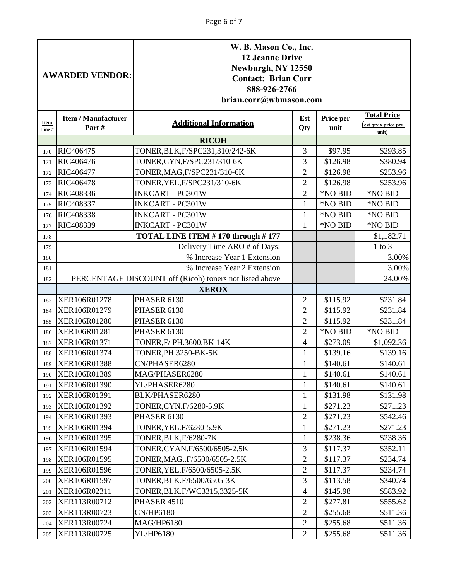|                | <b>AWARDED VENDOR:</b>                                            | W. B. Mason Co., Inc.<br><b>12 Jeanne Drive</b><br>Newburgh, NY 12550<br><b>Contact: Brian Corr</b><br>888-926-2766<br>brian.corr@wbmason.com |                |          |            |  |  |  |
|----------------|-------------------------------------------------------------------|-----------------------------------------------------------------------------------------------------------------------------------------------|----------------|----------|------------|--|--|--|
| Item<br>Line # | <b>Item / Manufacturer</b><br>Part#                               | <b>Total Price</b><br>Price per<br><b>Est</b><br><b>Additional Information</b><br><u>(est qty x price per</u><br>Qty<br>unit<br>unit)         |                |          |            |  |  |  |
|                |                                                                   | <b>RICOH</b>                                                                                                                                  |                |          |            |  |  |  |
| 170            | RIC406475                                                         | TONER, BLK, F/SPC231, 310/242-6K                                                                                                              | 3              | \$97.95  | \$293.85   |  |  |  |
| 171            | RIC406476                                                         | TONER,CYN,F/SPC231/310-6K                                                                                                                     | 3              | \$126.98 | \$380.94   |  |  |  |
| 172            | RIC406477                                                         | TONER, MAG, F/SPC231/310-6K                                                                                                                   | $\overline{2}$ | \$126.98 | \$253.96   |  |  |  |
| 173            | RIC406478                                                         | TONER, YEL, F/SPC231/310-6K                                                                                                                   | $\overline{2}$ | \$126.98 | \$253.96   |  |  |  |
| 174            | RIC408336                                                         | <b>INKCART - PC301W</b>                                                                                                                       | $\overline{2}$ | *NO BID  | *NO BID    |  |  |  |
| 175            | RIC408337                                                         | <b>INKCART - PC301W</b>                                                                                                                       | $\mathbf{1}$   | *NO BID  | *NO BID    |  |  |  |
| 176            | RIC408338                                                         | <b>INKCART - PC301W</b>                                                                                                                       | $\mathbf{1}$   | *NO BID  | *NO BID    |  |  |  |
| 177            | RIC408339                                                         | <b>INKCART - PC301W</b>                                                                                                                       | $\mathbf{1}$   | *NO BID  | *NO BID    |  |  |  |
| 178            |                                                                   | TOTAL LINE ITEM #170 through #177                                                                                                             |                |          | \$1,182.71 |  |  |  |
| 179            |                                                                   | Delivery Time ARO # of Days:                                                                                                                  |                |          | $1$ to $3$ |  |  |  |
| 180            |                                                                   | % Increase Year 1 Extension                                                                                                                   |                |          | 3.00%      |  |  |  |
| 181            | % Increase Year 2 Extension                                       |                                                                                                                                               |                |          |            |  |  |  |
| 182            | PERCENTAGE DISCOUNT off (Ricoh) toners not listed above<br>24.00% |                                                                                                                                               |                |          |            |  |  |  |
|                |                                                                   | <b>XEROX</b>                                                                                                                                  |                |          |            |  |  |  |
| 183            | XER106R01278                                                      | PHASER 6130                                                                                                                                   | $\overline{2}$ | \$115.92 | \$231.84   |  |  |  |
| 184            | XER106R01279                                                      | PHASER 6130                                                                                                                                   | $\overline{2}$ | \$115.92 | \$231.84   |  |  |  |
| 185            | XER106R01280                                                      | PHASER 6130                                                                                                                                   | $\overline{2}$ | \$115.92 | \$231.84   |  |  |  |
| 186            | XER106R01281                                                      | PHASER 6130                                                                                                                                   | $\overline{2}$ | *NO BID  | *NO BID    |  |  |  |
| 187            | XER106R01371                                                      | TONER, F/ PH.3600, BK-14K                                                                                                                     | $\overline{4}$ | \$273.09 | \$1,092.36 |  |  |  |
| 188            | XER106R01374                                                      | <b>TONER, PH 3250-BK-5K</b>                                                                                                                   | $\mathbf{1}$   | \$139.16 | \$139.16   |  |  |  |
| 189            | <b>XER106R01388</b>                                               | CN/PHASER6280                                                                                                                                 |                | \$140.61 | \$140.61   |  |  |  |
| 190            | XER106R01389                                                      | MAG/PHASER6280                                                                                                                                | 1              | \$140.61 | \$140.61   |  |  |  |
| 191            | XER106R01390                                                      | YL/PHASER6280                                                                                                                                 | $\mathbf{1}$   | \$140.61 | \$140.61   |  |  |  |
| 192            | XER106R01391                                                      | BLK/PHASER6280                                                                                                                                | $\mathbf{1}$   | \$131.98 | \$131.98   |  |  |  |
| 193            | XER106R01392                                                      | TONER, CYN.F/6280-5.9K                                                                                                                        | $\mathbf{1}$   | \$271.23 | \$271.23   |  |  |  |
| 194            | XER106R01393                                                      | PHASER 6130                                                                                                                                   | $\overline{2}$ | \$271.23 | \$542.46   |  |  |  |
| 195            | XER106R01394                                                      | TONER, YEL. F/6280-5.9K                                                                                                                       | $\mathbf{1}$   | \$271.23 | \$271.23   |  |  |  |
| 196            | XER106R01395                                                      | TONER, BLK, F/6280-7K                                                                                                                         | 1              | \$238.36 | \$238.36   |  |  |  |
| 197            | XER106R01594                                                      | TONER, CYAN. F/6500/6505-2.5K                                                                                                                 | 3              | \$117.37 | \$352.11   |  |  |  |
| 198            | XER106R01595                                                      | TONER, MAGF/6500/6505-2.5K                                                                                                                    | $\sqrt{2}$     | \$117.37 | \$234.74   |  |  |  |
| 199            | XER106R01596                                                      | TONER, YEL. F/6500/6505-2.5K                                                                                                                  | $\overline{2}$ | \$117.37 | \$234.74   |  |  |  |
| 200            | XER106R01597                                                      | TONER, BLK. F/6500/6505-3K                                                                                                                    | 3              | \$113.58 | \$340.74   |  |  |  |
| 201            | XER106R02311                                                      | TONER, BLK.F/WC3315, 3325-5K                                                                                                                  | $\overline{4}$ | \$145.98 | \$583.92   |  |  |  |
| 202            | XER113R00712                                                      | PHASER 4510                                                                                                                                   | $\overline{2}$ | \$277.81 | \$555.62   |  |  |  |
| 203            | XER113R00723                                                      | CN/HP6180                                                                                                                                     | $\overline{2}$ | \$255.68 | \$511.36   |  |  |  |
| 204            | XER113R00724                                                      | <b>MAG/HP6180</b>                                                                                                                             | $\overline{2}$ | \$255.68 | \$511.36   |  |  |  |
| 205            | XER113R00725                                                      | YL/HP6180                                                                                                                                     | $\overline{2}$ | \$255.68 | \$511.36   |  |  |  |